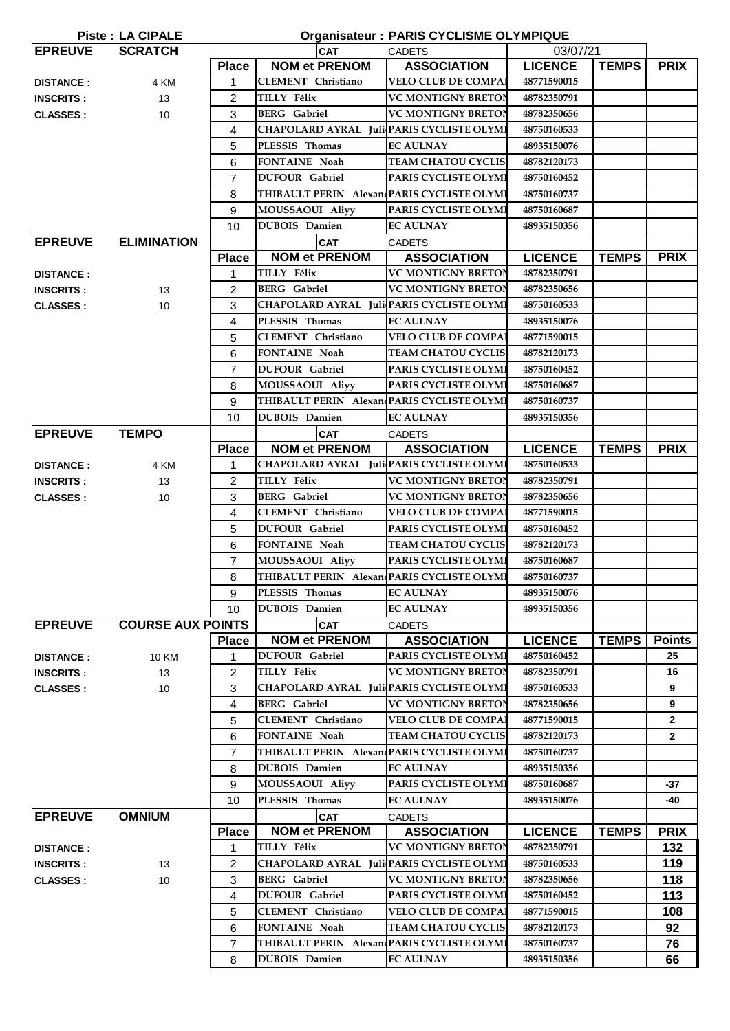| <b>Organisateur: PARIS CYCLISME OLYMPIQUE</b><br><b>Piste: LA CIPALE</b> |                          |                |                                             |                             |                                |               |  |
|--------------------------------------------------------------------------|--------------------------|----------------|---------------------------------------------|-----------------------------|--------------------------------|---------------|--|
| <b>EPREUVE</b>                                                           | <b>SCRATCH</b>           |                | <b>CAT</b>                                  | <b>CADETS</b>               | 03/07/21                       |               |  |
|                                                                          |                          | <b>Place</b>   | <b>NOM et PRENOM</b>                        | <b>ASSOCIATION</b>          | <b>LICENCE</b><br><b>TEMPS</b> | <b>PRIX</b>   |  |
| <b>DISTANCE:</b>                                                         | 4 KM                     | 1              | <b>CLEMENT</b> Christiano                   | <b>VELO CLUB DE COMPAI</b>  | 48771590015                    |               |  |
| <b>INSCRITS:</b>                                                         | 13                       | $\overline{2}$ | TILLY Félix                                 | <b>VC MONTIGNY BRETON</b>   | 48782350791                    |               |  |
| <b>CLASSES:</b>                                                          | 10                       | 3              | <b>BERG</b> Gabriel                         | VC MONTIGNY BRETON          | 48782350656                    |               |  |
|                                                                          |                          | 4              | CHAPOLARD AYRAL Juli PARIS CYCLISTE OLYMI   |                             | 48750160533                    |               |  |
|                                                                          |                          | 5              | PLESSIS Thomas                              | <b>EC AULNAY</b>            | 48935150076                    |               |  |
|                                                                          |                          | 6              | <b>FONTAINE Noah</b>                        | <b>TEAM CHATOU CYCLIS</b>   | 48782120173                    |               |  |
|                                                                          |                          | $\overline{7}$ | <b>DUFOUR</b> Gabriel                       | <b>PARIS CYCLISTE OLYMI</b> | 48750160452                    |               |  |
|                                                                          |                          | 8              | THIBAULT PERIN Alexan PARIS CYCLISTE OLYMI  |                             | 48750160737                    |               |  |
|                                                                          |                          | 9              | MOUSSAOUI Aliyy                             | PARIS CYCLISTE OLYMI        | 48750160687                    |               |  |
|                                                                          |                          | 10             | <b>DUBOIS</b> Damien                        | <b>EC AULNAY</b>            | 48935150356                    |               |  |
| <b>EPREUVE</b>                                                           | <b>ELIMINATION</b>       |                | <b>CAT</b>                                  | <b>CADETS</b>               |                                |               |  |
|                                                                          |                          | <b>Place</b>   | <b>NOM et PRENOM</b>                        | <b>ASSOCIATION</b>          | <b>LICENCE</b><br><b>TEMPS</b> | <b>PRIX</b>   |  |
| <b>DISTANCE:</b>                                                         |                          | 1              | TILLY Félix                                 | <b>VC MONTIGNY BRETON</b>   | 48782350791                    |               |  |
| <b>INSCRITS:</b>                                                         | 13                       | 2              | <b>BERG</b> Gabriel                         | <b>VC MONTIGNY BRETON</b>   | 48782350656                    |               |  |
| <b>CLASSES:</b>                                                          | 10                       | 3              | CHAPOLARD AYRAL Juli PARIS CYCLISTE OLYMI   |                             | 48750160533                    |               |  |
|                                                                          |                          | 4              | PLESSIS Thomas                              | <b>EC AULNAY</b>            | 48935150076                    |               |  |
|                                                                          |                          | 5              | CLEMENT Christiano                          | <b>VELO CLUB DE COMPAI</b>  | 48771590015                    |               |  |
|                                                                          |                          | 6              | <b>FONTAINE Noah</b>                        | <b>TEAM CHATOU CYCLIS</b>   | 48782120173                    |               |  |
|                                                                          |                          |                | <b>DUFOUR Gabriel</b>                       | PARIS CYCLISTE OLYMI        |                                |               |  |
|                                                                          |                          | $\overline{7}$ |                                             |                             | 48750160452                    |               |  |
|                                                                          |                          | 8              | MOUSSAOUI Aliyy                             | PARIS CYCLISTE OLYMI        | 48750160687                    |               |  |
|                                                                          |                          | 9              | THIBAULT PERIN Alexan PARIS CYCLISTE OLYMI  |                             | 48750160737                    |               |  |
|                                                                          |                          | 10             | <b>DUBOIS</b> Damien                        | <b>EC AULNAY</b>            | 48935150356                    |               |  |
| <b>EPREUVE</b>                                                           | <b>TEMPO</b>             |                | <b>CAT</b><br><b>NOM et PRENOM</b>          | <b>CADETS</b>               |                                |               |  |
|                                                                          |                          | <b>Place</b>   |                                             | <b>ASSOCIATION</b>          | <b>LICENCE</b><br><b>TEMPS</b> | <b>PRIX</b>   |  |
| <b>DISTANCE:</b>                                                         | 4 KM                     | 1              | CHAPOLARD AYRAL Juli PARIS CYCLISTE OLYMI   |                             | 48750160533                    |               |  |
| <b>INSCRITS:</b>                                                         | 13                       | $\overline{2}$ | TILLY Félix                                 | <b>VC MONTIGNY BRETON</b>   | 48782350791                    |               |  |
| <b>CLASSES:</b>                                                          | 10                       | 3              | <b>BERG</b> Gabriel                         | <b>VC MONTIGNY BRETON</b>   | 48782350656                    |               |  |
|                                                                          |                          | 4              | <b>CLEMENT</b> Christiano                   | <b>VELO CLUB DE COMPAI</b>  | 48771590015                    |               |  |
|                                                                          |                          | 5              | <b>DUFOUR Gabriel</b>                       | PARIS CYCLISTE OLYMI        | 48750160452                    |               |  |
|                                                                          |                          | 6              | <b>FONTAINE Noah</b>                        | <b>TEAM CHATOU CYCLIS</b>   | 48782120173                    |               |  |
|                                                                          |                          | $\overline{7}$ | <b>MOUSSAOUI Aliyy</b>                      | PARIS CYCLISTE OLYMI        | 48750160687                    |               |  |
|                                                                          |                          | 8              | THIBAULT PERIN Alexan PARIS CYCLISTE OLYMI  |                             | 48750160737                    |               |  |
|                                                                          |                          | 9              | PLESSIS Thomas                              | <b>EC AULNAY</b>            | 48935150076                    |               |  |
|                                                                          |                          | 10             | <b>DUBOIS</b> Damien                        | <b>EC AULNAY</b>            | 48935150356                    |               |  |
| <b>EPREUVE</b>                                                           | <b>COURSE AUX POINTS</b> |                | <b>CAT</b>                                  | <b>CADETS</b>               |                                |               |  |
|                                                                          |                          | <b>Place</b>   | <b>NOM et PRENOM</b>                        | <b>ASSOCIATION</b>          | <b>LICENCE</b><br><b>TEMPS</b> | <b>Points</b> |  |
| <b>DISTANCE:</b>                                                         | 10 KM                    | 1              | <b>DUFOUR</b> Gabriel                       | PARIS CYCLISTE OLYMI        | 48750160452                    | 25            |  |
| <b>INSCRITS:</b>                                                         | 13                       | 2              | TILLY Félix                                 | <b>VC MONTIGNY BRETON</b>   | 48782350791                    | 16            |  |
| <b>CLASSES:</b>                                                          | 10                       | 3              | CHAPOLARD AYRAL Juli PARIS CYCLISTE OLYMI   |                             | 48750160533                    | 9             |  |
|                                                                          |                          | 4              | <b>BERG</b> Gabriel                         | <b>VC MONTIGNY BRETON</b>   | 48782350656                    | 9             |  |
|                                                                          |                          | 5              | CLEMENT Christiano                          | <b>VELO CLUB DE COMPAI</b>  | 48771590015                    | $\mathbf{2}$  |  |
|                                                                          |                          | 6              | FONTAINE Noah                               | <b>TEAM CHATOU CYCLIS</b>   | 48782120173                    | $\mathbf{2}$  |  |
|                                                                          |                          | $\overline{7}$ | THIBAULT PERIN Alexan PARIS CYCLISTE OLYMI  |                             | 48750160737                    |               |  |
|                                                                          |                          | 8              | <b>DUBOIS</b> Damien                        | <b>EC AULNAY</b>            | 48935150356                    |               |  |
|                                                                          |                          | 9              | MOUSSAOUI Aliyy                             | PARIS CYCLISTE OLYMI        | 48750160687                    | -37           |  |
|                                                                          |                          | 10             | PLESSIS Thomas                              | <b>EC AULNAY</b>            | 48935150076                    | -40           |  |
| <b>EPREUVE</b>                                                           | <b>OMNIUM</b>            |                | <b>CAT</b>                                  | <b>CADETS</b>               |                                |               |  |
|                                                                          |                          | <b>Place</b>   | <b>NOM et PRENOM</b>                        | <b>ASSOCIATION</b>          | <b>LICENCE</b><br><b>TEMPS</b> | <b>PRIX</b>   |  |
| <b>DISTANCE:</b>                                                         |                          | 1              | TILLY Félix                                 | <b>VC MONTIGNY BRETON</b>   | 48782350791                    | 132           |  |
| <b>INSCRITS:</b>                                                         | 13                       | 2              | CHAPOLARD AYRAL   Juli PARIS CYCLISTE OLYMI |                             | 48750160533                    | 119           |  |
| <b>CLASSES:</b>                                                          | 10                       | 3              | <b>BERG</b> Gabriel                         | <b>VC MONTIGNY BRETON</b>   | 48782350656                    | 118           |  |
|                                                                          |                          | 4              | <b>DUFOUR</b> Gabriel                       | PARIS CYCLISTE OLYMI        | 48750160452                    | 113           |  |
|                                                                          |                          | 5              | <b>CLEMENT</b> Christiano                   | <b>VELO CLUB DE COMPAI</b>  | 48771590015                    | 108           |  |
|                                                                          |                          | 6              | FONTAINE Noah                               | <b>TEAM CHATOU CYCLIS</b>   | 48782120173                    | 92            |  |
|                                                                          |                          | $\overline{7}$ | THIBAULT PERIN Alexan PARIS CYCLISTE OLYMI  |                             | 48750160737                    | 76            |  |
|                                                                          |                          | 8              | <b>DUBOIS</b> Damien                        | <b>EC AULNAY</b>            | 48935150356                    | 66            |  |
|                                                                          |                          |                |                                             |                             |                                |               |  |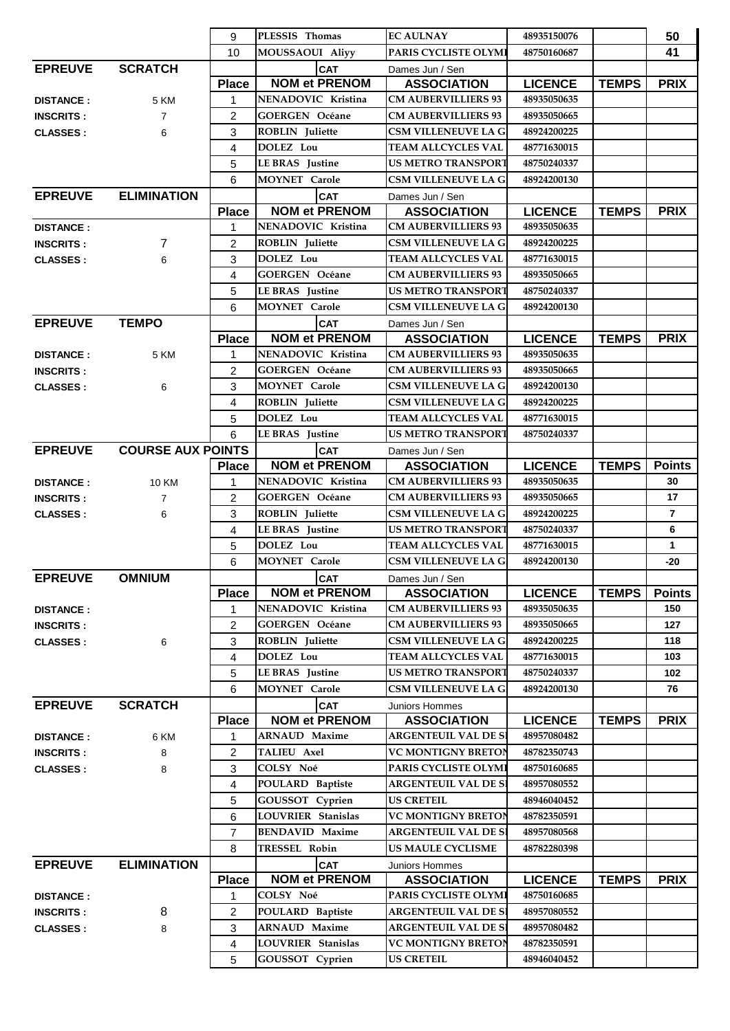|                                      |                          | 9              | PLESSIS Thomas                     | <b>EC AULNAY</b>                      | 48935150076    |              | 50             |
|--------------------------------------|--------------------------|----------------|------------------------------------|---------------------------------------|----------------|--------------|----------------|
|                                      |                          | 10             | <b>MOUSSAOUI Aliyy</b>             | <b>PARIS CYCLISTE OLYMI</b>           | 48750160687    |              | 41             |
| <b>EPREUVE</b>                       | <b>SCRATCH</b>           |                | <b>CAT</b>                         | Dames Jun / Sen                       |                |              |                |
|                                      |                          | <b>Place</b>   | <b>NOM et PRENOM</b>               | <b>ASSOCIATION</b>                    | <b>LICENCE</b> | <b>TEMPS</b> | <b>PRIX</b>    |
| <b>DISTANCE:</b>                     | 5 KM                     | 1              | NENADOVIC Kristina                 | <b>CM AUBERVILLIERS 93</b>            | 48935050635    |              |                |
| <b>INSCRITS:</b>                     | 7                        | 2              | <b>GOERGEN Océane</b>              | <b>CM AUBERVILLIERS 93</b>            | 48935050665    |              |                |
| <b>CLASSES:</b>                      | 6                        | 3              | <b>ROBLIN</b> Juliette             | <b>CSM VILLENEUVE LA G</b>            | 48924200225    |              |                |
|                                      |                          | 4              | DOLEZ Lou                          | TEAM ALLCYCLES VAL                    | 48771630015    |              |                |
|                                      |                          | 5              | <b>LE BRAS</b> Justine             | <b>US METRO TRANSPORT</b>             | 48750240337    |              |                |
|                                      |                          | 6              | <b>MOYNET Carole</b>               | CSM VILLENEUVE LA G                   | 48924200130    |              |                |
| <b>EPREUVE</b>                       | <b>ELIMINATION</b>       |                | <b>CAT</b>                         | Dames Jun / Sen                       |                |              |                |
|                                      |                          | <b>Place</b>   | <b>NOM et PRENOM</b>               | <b>ASSOCIATION</b>                    | <b>LICENCE</b> | <b>TEMPS</b> | <b>PRIX</b>    |
| <b>DISTANCE:</b>                     |                          | 1              | NENADOVIC Kristina                 | <b>CM AUBERVILLIERS 93</b>            | 48935050635    |              |                |
| <b>INSCRITS:</b>                     | 7                        | $\overline{2}$ | <b>ROBLIN</b> Juliette             | <b>CSM VILLENEUVE LA G</b>            | 48924200225    |              |                |
| <b>CLASSES:</b>                      | 6                        | 3              | DOLEZ Lou                          | TEAM ALLCYCLES VAL                    | 48771630015    |              |                |
|                                      |                          | 4              | <b>GOERGEN Océane</b>              | <b>CM AUBERVILLIERS 93</b>            | 48935050665    |              |                |
|                                      |                          | 5              | <b>LE BRAS</b> Justine             | <b>US METRO TRANSPORT</b>             | 48750240337    |              |                |
|                                      |                          | 6              | <b>MOYNET</b> Carole               | <b>CSM VILLENEUVE LA G</b>            | 48924200130    |              |                |
| <b>EPREUVE</b>                       | <b>TEMPO</b>             |                |                                    |                                       |                |              |                |
|                                      |                          | <b>Place</b>   | <b>CAT</b><br><b>NOM et PRENOM</b> | Dames Jun / Sen<br><b>ASSOCIATION</b> | <b>LICENCE</b> | <b>TEMPS</b> | <b>PRIX</b>    |
|                                      | 5 KM                     | 1              | NENADOVIC Kristina                 | <b>CM AUBERVILLIERS 93</b>            | 48935050635    |              |                |
| <b>DISTANCE:</b>                     |                          | 2              | <b>GOERGEN Océane</b>              | <b>CM AUBERVILLIERS 93</b>            | 48935050665    |              |                |
| <b>INSCRITS:</b>                     |                          | 3              | <b>MOYNET</b> Carole               | <b>CSM VILLENEUVE LA G</b>            | 48924200130    |              |                |
| <b>CLASSES:</b>                      | 6                        | 4              | <b>ROBLIN</b> Juliette             | <b>CSM VILLENEUVE LA G</b>            | 48924200225    |              |                |
|                                      |                          | 5              | DOLEZ Lou                          | <b>TEAM ALLCYCLES VAL</b>             | 48771630015    |              |                |
|                                      |                          | 6              | <b>LE BRAS</b> Justine             | <b>US METRO TRANSPORT</b>             | 48750240337    |              |                |
| <b>EPREUVE</b>                       | <b>COURSE AUX POINTS</b> |                | <b>CAT</b>                         |                                       |                |              |                |
|                                      |                          | <b>Place</b>   | <b>NOM et PRENOM</b>               | Dames Jun / Sen<br><b>ASSOCIATION</b> | <b>LICENCE</b> | <b>TEMPS</b> | <b>Points</b>  |
|                                      |                          | 1              | NENADOVIC Kristina                 | <b>CM AUBERVILLIERS 93</b>            | 48935050635    |              | 30             |
| <b>DISTANCE:</b><br><b>INSCRITS:</b> | 10 KM<br>$\overline{7}$  | $\overline{c}$ | <b>GOERGEN Océane</b>              | <b>CM AUBERVILLIERS 93</b>            | 48935050665    |              | 17             |
| <b>CLASSES:</b>                      | 6                        | 3              | <b>ROBLIN</b> Juliette             | <b>CSM VILLENEUVE LA G</b>            | 48924200225    |              | $\overline{7}$ |
|                                      |                          | 4              | <b>LE BRAS</b> Justine             | <b>US METRO TRANSPORT</b>             | 48750240337    |              | 6              |
|                                      |                          | 5              | <b>DOLEZ</b> Lou                   | TEAM ALLCYCLES VAL                    | 48771630015    |              | 1              |
|                                      |                          | 6              | <b>MOYNET Carole</b>               | <b>CSM VILLENEUVE LA G</b>            | 48924200130    |              | -20            |
| <b>EPREUVE</b>                       | <b>OMNIUM</b>            |                | CAT                                | Dames Jun / Sen                       |                |              |                |
|                                      |                          | <b>Place</b>   | <b>NOM et PRENOM</b>               | <b>ASSOCIATION</b>                    | <b>LICENCE</b> | <b>TEMPS</b> | <b>Points</b>  |
| <b>DISTANCE:</b>                     |                          | 1              | NENADOVIC Kristina                 | <b>CM AUBERVILLIERS 93</b>            | 48935050635    |              | 150            |
| <b>INSCRITS:</b>                     |                          | $\overline{2}$ | <b>GOERGEN Océane</b>              | <b>CM AUBERVILLIERS 93</b>            | 48935050665    |              | 127            |
| <b>CLASSES:</b>                      | 6                        | 3              | <b>ROBLIN</b> Juliette             | <b>CSM VILLENEUVE LA G</b>            | 48924200225    |              | 118            |
|                                      |                          | 4              | DOLEZ Lou                          | TEAM ALLCYCLES VAL                    | 48771630015    |              | 103            |
|                                      |                          | 5              | <b>LE BRAS</b> Justine             | <b>US METRO TRANSPORT</b>             | 48750240337    |              | 102            |
|                                      |                          | 6              | <b>MOYNET</b> Carole               | <b>CSM VILLENEUVE LA G</b>            | 48924200130    |              | 76             |
| <b>EPREUVE</b>                       | <b>SCRATCH</b>           |                | <b>CAT</b>                         | <b>Juniors Hommes</b>                 |                |              |                |
|                                      |                          | <b>Place</b>   | <b>NOM et PRENOM</b>               | <b>ASSOCIATION</b>                    | <b>LICENCE</b> | <b>TEMPS</b> | <b>PRIX</b>    |
| <b>DISTANCE:</b>                     | 6 KM                     | 1              | <b>ARNAUD Maxime</b>               | <b>ARGENTEUIL VAL DE SI</b>           | 48957080482    |              |                |
| <b>INSCRITS:</b>                     | 8                        | 2              | <b>TALIEU Axel</b>                 | <b>VC MONTIGNY BRETON</b>             | 48782350743    |              |                |
| <b>CLASSES:</b>                      | 8                        | 3              | COLSY Noé                          | PARIS CYCLISTE OLYMI                  | 48750160685    |              |                |
|                                      |                          | 4              | POULARD Baptiste                   | <b>ARGENTEUIL VAL DE SI</b>           | 48957080552    |              |                |
|                                      |                          | 5              | <b>GOUSSOT</b> Cyprien             | <b>US CRETEIL</b>                     | 48946040452    |              |                |
|                                      |                          | 6              | <b>LOUVRIER Stanislas</b>          | <b>VC MONTIGNY BRETON</b>             | 48782350591    |              |                |
|                                      |                          | $\overline{7}$ | <b>BENDAVID Maxime</b>             | <b>ARGENTEUIL VAL DE SI</b>           | 48957080568    |              |                |
|                                      |                          | 8              | TRESSEL Robin                      | <b>US MAULE CYCLISME</b>              | 48782280398    |              |                |
| <b>EPREUVE</b>                       | <b>ELIMINATION</b>       |                | <b>CAT</b>                         | Juniors Hommes                        |                |              |                |
|                                      |                          | <b>Place</b>   | <b>NOM et PRENOM</b>               | <b>ASSOCIATION</b>                    | <b>LICENCE</b> | <b>TEMPS</b> | <b>PRIX</b>    |
| <b>DISTANCE:</b>                     |                          | 1              | COLSY Noé                          | PARIS CYCLISTE OLYMI                  | 48750160685    |              |                |
| <b>INSCRITS:</b>                     | 8                        | 2              | POULARD Baptiste                   | <b>ARGENTEUIL VAL DE SI</b>           | 48957080552    |              |                |
| <b>CLASSES:</b>                      | 8                        | 3              | <b>ARNAUD Maxime</b>               | <b>ARGENTEUIL VAL DE SI</b>           | 48957080482    |              |                |
|                                      |                          | 4              | <b>LOUVRIER Stanislas</b>          | VC MONTIGNY BRETON                    | 48782350591    |              |                |
|                                      |                          | 5              | GOUSSOT Cyprien                    | <b>US CRETEIL</b>                     | 48946040452    |              |                |
|                                      |                          |                |                                    |                                       |                |              |                |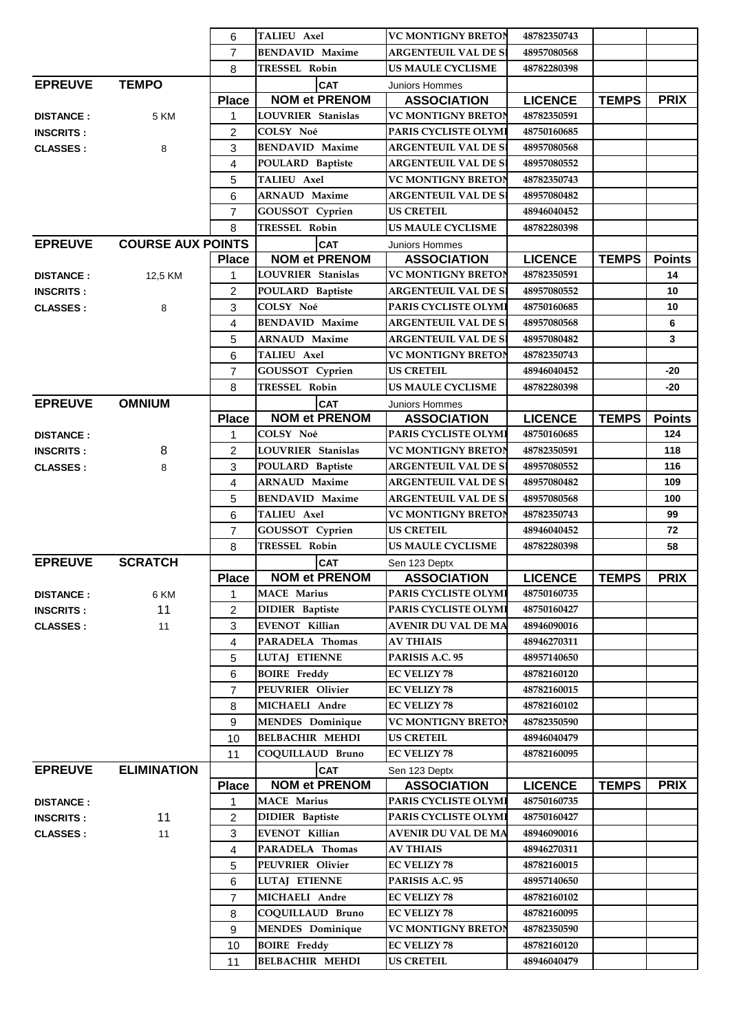|                  |                          | 6              | <b>TALIEU Axel</b>        | <b>VC MONTIGNY BRETON</b>   | 48782350743    |              |                 |
|------------------|--------------------------|----------------|---------------------------|-----------------------------|----------------|--------------|-----------------|
|                  |                          | $\overline{7}$ | <b>BENDAVID Maxime</b>    | <b>ARGENTEUIL VAL DE SI</b> | 48957080568    |              |                 |
|                  |                          | 8              | TRESSEL Robin             | <b>US MAULE CYCLISME</b>    | 48782280398    |              |                 |
| <b>EPREUVE</b>   | <b>TEMPO</b>             |                | <b>CAT</b>                | Juniors Hommes              |                |              |                 |
|                  |                          | <b>Place</b>   | <b>NOM et PRENOM</b>      | <b>ASSOCIATION</b>          | <b>LICENCE</b> | <b>TEMPS</b> | <b>PRIX</b>     |
| <b>DISTANCE:</b> | 5 KM                     | $\mathbf{1}$   | <b>LOUVRIER Stanislas</b> | <b>VC MONTIGNY BRETON</b>   | 48782350591    |              |                 |
| <b>INSCRITS:</b> |                          | 2              | COLSY Noé                 | PARIS CYCLISTE OLYMI        | 48750160685    |              |                 |
| <b>CLASSES:</b>  | 8                        | 3              | <b>BENDAVID Maxime</b>    | <b>ARGENTEUIL VAL DE SI</b> | 48957080568    |              |                 |
|                  |                          | $\overline{4}$ | POULARD Baptiste          | <b>ARGENTEUIL VAL DE SI</b> | 48957080552    |              |                 |
|                  |                          | 5              | <b>TALIEU Axel</b>        | <b>VC MONTIGNY BRETON</b>   | 48782350743    |              |                 |
|                  |                          | 6              | <b>ARNAUD Maxime</b>      | <b>ARGENTEUIL VAL DE SI</b> | 48957080482    |              |                 |
|                  |                          | $\overline{7}$ | GOUSSOT Cyprien           | <b>US CRETEIL</b>           | 48946040452    |              |                 |
|                  |                          | 8              | TRESSEL Robin             | <b>US MAULE CYCLISME</b>    | 48782280398    |              |                 |
| <b>EPREUVE</b>   | <b>COURSE AUX POINTS</b> |                | <b>CAT</b>                | Juniors Hommes              |                |              |                 |
|                  |                          | <b>Place</b>   | <b>NOM et PRENOM</b>      | <b>ASSOCIATION</b>          | <b>LICENCE</b> | <b>TEMPS</b> | <b>Points</b>   |
| <b>DISTANCE:</b> | 12,5 KM                  | 1              | LOUVRIER Stanislas        | <b>VC MONTIGNY BRETON</b>   | 48782350591    |              | 14              |
| <b>INSCRITS:</b> |                          | $\overline{2}$ | POULARD Baptiste          | <b>ARGENTEUIL VAL DE SI</b> | 48957080552    |              | 10              |
| <b>CLASSES:</b>  | 8                        | 3              | COLSY Noé                 | PARIS CYCLISTE OLYMI        | 48750160685    |              | 10 <sup>1</sup> |
|                  |                          | 4              | <b>BENDAVID Maxime</b>    | <b>ARGENTEUIL VAL DE SI</b> | 48957080568    |              | 6               |
|                  |                          | 5              | <b>ARNAUD Maxime</b>      | <b>ARGENTEUIL VAL DE SI</b> | 48957080482    |              | 3               |
|                  |                          | 6              | TALIEU Axel               | <b>VC MONTIGNY BRETON</b>   | 48782350743    |              |                 |
|                  |                          | 7              | GOUSSOT Cyprien           | <b>US CRETEIL</b>           | 48946040452    |              | -20             |
|                  |                          | 8              | TRESSEL Robin             | <b>US MAULE CYCLISME</b>    | 48782280398    |              | -20             |
| <b>EPREUVE</b>   | <b>OMNIUM</b>            |                | <b>CAT</b>                | <b>Juniors Hommes</b>       |                |              |                 |
|                  |                          | <b>Place</b>   | <b>NOM et PRENOM</b>      | <b>ASSOCIATION</b>          | <b>LICENCE</b> | <b>TEMPS</b> | <b>Points</b>   |
| <b>DISTANCE:</b> |                          | 1              | COLSY Noé                 | PARIS CYCLISTE OLYMI        | 48750160685    |              | 124             |
| <b>INSCRITS:</b> | 8                        | $\overline{2}$ | LOUVRIER Stanislas        | <b>VC MONTIGNY BRETON</b>   | 48782350591    |              | 118             |
| <b>CLASSES:</b>  | 8                        | 3              | POULARD Baptiste          | <b>ARGENTEUIL VAL DE SI</b> | 48957080552    |              | 116             |
|                  |                          | $\overline{4}$ | <b>ARNAUD Maxime</b>      | <b>ARGENTEUIL VAL DE SI</b> | 48957080482    |              | 109             |
|                  |                          | 5              | <b>BENDAVID Maxime</b>    | <b>ARGENTEUIL VAL DE SI</b> | 48957080568    |              | 100             |
|                  |                          | 6              | <b>TALIEU Axel</b>        | <b>VC MONTIGNY BRETON</b>   | 48782350743    |              | 99              |
|                  |                          | $\overline{7}$ | GOUSSOT Cyprien           | <b>US CRETEIL</b>           | 48946040452    |              | 72              |
|                  |                          | 8              | TRESSEL Robin             | <b>US MAULE CYCLISME</b>    | 48782280398    |              | 58              |
| <b>EPREUVE</b>   | <b>SCRATCH</b>           |                | <b>CAT</b>                | Sen 123 Deptx               |                |              |                 |
|                  |                          | <b>Place</b>   | <b>NOM et PRENOM</b>      | <b>ASSOCIATION</b>          | <b>LICENCE</b> | <b>TEMPS</b> | <b>PRIX</b>     |
| <b>DISTANCE:</b> | 6 KM                     | 1              | <b>MACE Marius</b>        | PARIS CYCLISTE OLYMI        | 48750160735    |              |                 |
| <b>INSCRITS:</b> | 11                       | 2              | <b>DIDIER</b> Baptiste    | PARIS CYCLISTE OLYMI        | 48750160427    |              |                 |
| <b>CLASSES:</b>  | 11                       | 3              | EVENOT Killian            | <b>AVENIR DU VAL DE MA</b>  | 48946090016    |              |                 |
|                  |                          | 4              | PARADELA Thomas           | AV THIAIS                   | 48946270311    |              |                 |
|                  |                          | 5              | LUTAJ ETIENNE             | PARISIS A.C. 95             | 48957140650    |              |                 |
|                  |                          | 6              | <b>BOIRE</b> Freddy       | <b>EC VELIZY 78</b>         | 48782160120    |              |                 |
|                  |                          | $\overline{7}$ | PEUVRIER Olivier          | <b>EC VELIZY 78</b>         | 48782160015    |              |                 |
|                  |                          | 8              | MICHAELI Andre            | <b>EC VELIZY 78</b>         | 48782160102    |              |                 |
|                  |                          | 9              | <b>MENDES</b> Dominique   | <b>VC MONTIGNY BRETON</b>   | 48782350590    |              |                 |
|                  |                          | 10             | <b>BELBACHIR MEHDI</b>    | <b>US CRETEIL</b>           | 48946040479    |              |                 |
|                  |                          | 11             | COQUILLAUD Bruno          | <b>EC VELIZY 78</b>         | 48782160095    |              |                 |
| <b>EPREUVE</b>   | <b>ELIMINATION</b>       |                | <b>CAT</b>                | Sen 123 Deptx               |                |              |                 |
|                  |                          | <b>Place</b>   | <b>NOM et PRENOM</b>      | <b>ASSOCIATION</b>          | <b>LICENCE</b> | <b>TEMPS</b> | <b>PRIX</b>     |
| <b>DISTANCE:</b> |                          | $\mathbf{1}$   | <b>MACE Marius</b>        | PARIS CYCLISTE OLYMI        | 48750160735    |              |                 |
| <b>INSCRITS:</b> | 11                       | 2              | <b>DIDIER</b> Baptiste    | PARIS CYCLISTE OLYMI        | 48750160427    |              |                 |
| <b>CLASSES:</b>  | 11                       | 3              | EVENOT Killian            | AVENIR DU VAL DE MA         | 48946090016    |              |                 |
|                  |                          | 4              | PARADELA Thomas           | <b>AV THIAIS</b>            | 48946270311    |              |                 |
|                  |                          | 5              | PEUVRIER Olivier          | <b>EC VELIZY 78</b>         | 48782160015    |              |                 |
|                  |                          | 6              | LUTAJ ETIENNE             | PARISIS A.C. 95             | 48957140650    |              |                 |
|                  |                          | $\overline{7}$ | MICHAELI Andre            | <b>EC VELIZY 78</b>         | 48782160102    |              |                 |
|                  |                          | 8              | COQUILLAUD Bruno          | <b>EC VELIZY 78</b>         | 48782160095    |              |                 |
|                  |                          | 9              | <b>MENDES</b> Dominique   | <b>VC MONTIGNY BRETON</b>   | 48782350590    |              |                 |
|                  |                          | 10             | <b>BOIRE</b> Freddy       | <b>EC VELIZY 78</b>         | 48782160120    |              |                 |
|                  |                          | 11             | <b>BELBACHIR MEHDI</b>    | <b>US CRETEIL</b>           | 48946040479    |              |                 |
|                  |                          |                |                           |                             |                |              |                 |